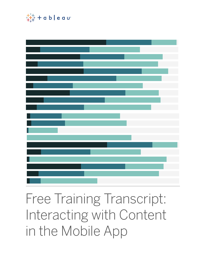

Free Training Transcript: Interacting with Content in the Mobile App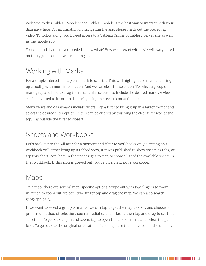Welcome to this Tableau Mobile video. Tableau Mobile is the best way to interact with your data anywhere. For information on navigating the app, please check out the preceding video. To follow along, you'll need access to a Tableau Online or Tableau Server site as well as the mobile app.

You've found that data you needed – now what? How we interact with a viz will vary based on the type of content we're looking at.

## Working with Marks

For a simple interaction, tap on a mark to select it. This will highlight the mark and bring up a tooltip with more information. And we can clear the selection. To select a group of marks, tap and hold to drag the rectangular selector to include the desired marks. A view can be reverted to its original state by using the revert icon at the top.

Many views and dashboards include filters. Tap a filter to bring it up in a larger format and select the desired filter option. Filters can be cleared by touching the clear filter icon at the top. Tap outside the filter to close it.

## Sheets and Workbooks

Let's back out to the All area for a moment and filter to workbooks only. Tapping on a workbook will either bring up a tabbed view, if it was published to show sheets as tabs, or tap this chart icon, here in the upper right corner, to show a list of the available sheets in that workbook. If this icon is greyed out, you're on a view, not a workbook.

#### Maps

On a map, there are several map-specific options. Swipe out with two fingers to zoom in, pinch to zoom out. To pan, two-finger tap and drag the map. We can also search geographically.

If we want to select a group of marks, we can tap to get the map toolbar, and choose our preferred method of selection, such as radial select or lasso, then tap and drag to set that selection. To go back to pan and zoom, tap to open the toolbar menu and select the pan icon. To go back to the original orientation of the map, use the home icon in the toolbar.